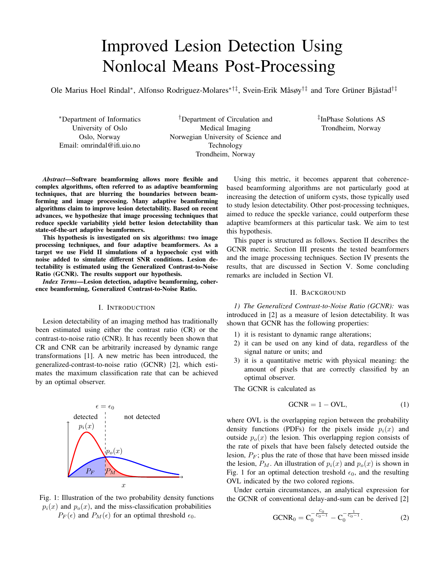# Improved Lesion Detection Using Nonlocal Means Post-Processing

Ole Marius Hoel Rindal\*, Alfonso Rodriguez-Molares<sup>∗†‡</sup>, Svein-Erik Måsøy<sup>†‡</sup> and Tore Grüner Bjåstad<sup>†‡</sup>

<sup>∗</sup>Department of Informatics University of Oslo Oslo, Norway Email: omrindal@ifi.uio.no

†Department of Circulation and Medical Imaging Norwegian University of Science and Technology Trondheim, Norway

‡ InPhase Solutions AS Trondheim, Norway

*Abstract*—Software beamforming allows more flexible and complex algorithms, often referred to as adaptive beamforming techniques, that are blurring the boundaries between beamforming and image processing. Many adaptive beamforming algorithms claim to improve lesion detectability. Based on recent advances, we hypothesize that image processing techniques that reduce speckle variability yield better lesion detectability than state-of-the-art adaptive beamformers.

This hypothesis is investigated on six algorithms: two image processing techniques, and four adaptive beamformers. As a target we use Field II simulations of a hypoechoic cyst with noise added to simulate different SNR conditions. Lesion detectability is estimated using the Generalized Contrast-to-Noise Ratio (GCNR). The results support our hypothesis.

*Index Terms*—Lesion detection, adaptive beamforming, coherence beamforming, Generalized Contrast-to-Noise Ratio.

#### I. INTRODUCTION

Lesion detectability of an imaging method has traditionally been estimated using either the contrast ratio (CR) or the contrast-to-noise ratio (CNR). It has recently been shown that CR and CNR can be arbitrarily increased by dynamic range transformations [1]. A new metric has been introduced, the generalized-contrast-to-noise ratio (GCNR) [2], which estimates the maximum classification rate that can be achieved by an optimal observer.



Fig. 1: Illustration of the two probability density functions  $p_i(x)$  and  $p_o(x)$ , and the miss-classification probabilities  $P_F(\epsilon)$  and  $P_M(\epsilon)$  for an optimal threshold  $\epsilon_0$ .

Using this metric, it becomes apparent that coherencebased beamforming algorithms are not particularly good at increasing the detection of uniform cysts, those typically used to study lesion detectability. Other post-processing techniques, aimed to reduce the speckle variance, could outperform these adaptive beamformers at this particular task. We aim to test this hypothesis.

This paper is structured as follows. Section II describes the GCNR metric. Section III presents the tested beamformers and the image processing techniques. Section IV presents the results, that are discussed in Section V. Some concluding remarks are included in Section VI.

# II. BACKGROUND

*1) The Generalized Contrast-to-Noise Ratio (GCNR):* was introduced in [2] as a measure of lesion detectability. It was shown that GCNR has the following properties:

- 1) it is resistant to dynamic range alterations;
- 2) it can be used on any kind of data, regardless of the signal nature or units; and
- 3) it is a quantitative metric with physical meaning: the amount of pixels that are correctly classified by an optimal observer.

The GCNR is calculated as

$$
GCNR = 1 - OVL,
$$
\n(1)

where OVL is the overlapping region between the probability density functions (PDFs) for the pixels inside  $p_i(x)$  and outside  $p<sub>o</sub>(x)$  the lesion. This overlapping region consists of the rate of pixels that have been falsely detected outside the lesion,  $P_F$ ; plus the rate of those that have been missed inside the lesion,  $P_M$ . An illustration of  $p_i(x)$  and  $p_o(x)$  is shown in Fig. 1 for an optimal detection treshold  $\epsilon_0$ , and the resulting OVL indicated by the two colored regions.

Under certain circumstances, an analytical expression for the GCNR of conventional delay-and-sum can be derived [2]

$$
GCNR_0 = C_0^{-\frac{C_0}{C_0 - 1}} - C_0^{-\frac{1}{C_0 - 1}}.
$$
 (2)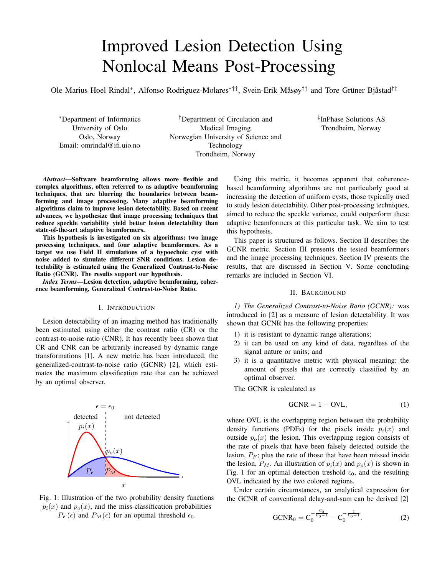where  $C_0$  can be calculated dependant on the number of elements M and the channel SNR

$$
C_0 = \frac{3}{2M \text{ SNR} + 3}.\tag{3}
$$

# III. METHODS

We used Field II [3][4] to simulate a 6 mm diameter anechoic cyst using a synthetic transmit aperture sequence and a 128-element, 300 um, linear probe transmitting at 5.13 MHz. A total of 20 datasets were generated. Band-pass Gaussian noise was added with different intensities to simulate channel SNR conditions from -20.7 to 4.4 dB.

The datasets were processed using 6 image formation methods:

- 1) delay-and-sum and spatial averaging (DAS + SA), using a 2D kernel of 30 pixels;
- 2) delay-and-sum and nonlocal means [5] (DAS + NLM), with parameters resulting in a search radi and comparison radi of 30 by 30 pixels, a preselection threshold of 4,  $\sigma = 80$  assuming a Gaussian distribution of the pixels;
- 3) phase coherence factor (PCF) [6], with  $\gamma = 1$ ;
- 4) generalized coherence factor (GCF) [7], with  $M_0=4$ ;
- 5) short lag spatial coherence (SLSC- $\lambda$ ) [8], with  $M_{\text{max}} =$ 14 and a  $\lambda$  kernel size; and
- 6) short lag spatial coherence  $(SLSC-0.1\lambda)$  [8], with  $M_{\text{max}} = 14$  and a  $0.1\lambda$  kernel size.

Both spatial averaging and nonlocal means was applied after envelope detection and logarithmic compression. GCNR was estimated using Eq. (1) for all SNR conditions. Fig. 4a shows the regions  $i$ , red, and  $o$ , blue, used to calculate GCNR.

All processing was done in MATLAB (The MathWorks, Natick, USA) using the UltraSound ToolBox (USTB) [9]. The data and code needed to produce all figures and results are available at http://www.ustb.no.

#### IV. RESULTS

Fig. 3 validates the analytical expression for the GCNR of DAS, Eq. (2), against the Field II simulation. Snapshots of the DAS images and the probability density functions  $p_i(x)$ and  $p<sub>o</sub>(x)$  are shown in Fig. 4 for a channel SNR of -4.86 dB and -14.07 dB. As expected better separation of both PDFs is observed in high SNR conditions, leading to higher GCNR values.



Fig. 3: GCNR values for DAS vs Eq. (2)



Fig. 4: Snapshots of the DAS images and  $p_i(x)$  and  $p_o(x)$ for a channel SNR of -4.86 dB (top row) and -14.07 dB (bottom row).

Fig. 2 shows the GCNR values vs SNR for the 6 tested methods. We observe that the post-processing methods outperform the adaptive beamformers for all SNR conditions. Trivial DAS + SA, and DAS + NLM show very similar lesion detectability. PCF, GCF, and SLSC-0.1 $\lambda$  are also very similar, with almost negligible variations from DAS. SLCS- $\lambda$  shows a significant improvement in lesion detection over DAS, but still far smaller than that of the post-processing approaches.



Fig. 2: GCNR values obtained for the six tested methods. The red dashed line in the GCNR plot is the analytical derivation the GCNR of DAS, Eq. (2), while the blue dots are the estimated GCNR for the SNR level indicated on the x-axis.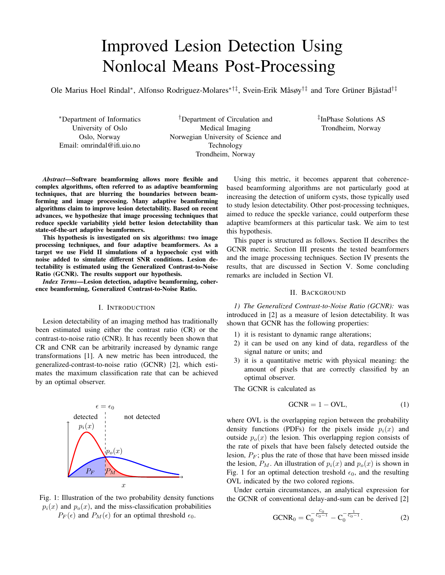For completeness, we include in Fig. 6 the snapshots of the resulting images and probability density functions  $p_i(x)$  and  $p<sub>o</sub>(x)$  for a channel SNR of -4.86 dB and -14.07 dB.

## V. DISCUSSION

Our results show that  $DAS + SA$  and  $DAS + NLM$  provide better lesion detectability than the tested coherence methods. This makes good sense: these averaging techniques reduce speckle variance both within and outside the lesion and make the separation of both regions easier. This is confirmed by the plots in Fig. 6, where we observe that, both, DAS + SA and DAS + NLM, reduce the variance of  $p_i$  and  $p_o$  while increasing the distance between their means.

High lesion detectability can be achieved by trivial spatial averaging (i.e. DAS + SA), however DAS + NLM does a better job at preserving the image resolution. Fig. 5 shows the lateral profile through the center of the lesion at a channel SNR of 4.35 dB. The edge of the cyst is sharper for the DAS + NLM algorithm. This illustrates that lesion detectability alone is not enough to ascertain the superiority of any imaging algorithm; as one can, trivially, trade off lesion detectability against spatial resolution. Lesion detectability should, therefore, be accompanied by an evaluation of the corresponding spatial resolution.



Fig. 5: Lateral profile through the center of the lesion for  $SNR = 4.35$  dB for DAS + NLM and DAS + SA. Lesion edges are indicated with dashed lines.

The results seem to indicate that coherence-based beamformers are not particularly well-suited for the task of detecting purely scattering lesions. Perhaps they can be better used to detect highly coherent targets, such as microcalcifications, or interfaces. Coherence beamforming has also been shown to be able to aid in the differentiation between solid and fluidfilled masses in-vivo [10].

The effect of the user settable parameters was briefly investigated. The SLSC implementation with a smaller kernel size  $0.1\lambda$ , Fig. 6u to 6x, led to lower GCNR values, Fig. 2f, than those obtained with larger kernel size  $\lambda$ , Fig. 6q to 6t with the resulting GCNR in Fig. 2e. This may indicate that the GCNR improvement observed in SLSC may be due to this introduced spatial averaging.

Our results demonstrate that the entire signal processing chain in ultrasound imaging is responsible for the final performance. However, a full implementation of the entire chain is a demanding task for an individual researcher. Having an open source implementation of that chain, from channel data to post-processing of the image, such as the USTB

(http://www.ustb.no), enable researchers to easily share their results and benefit from the others' implementations. We believe this can help increasing the quality and efficiency of the research done by the ultrasound community.

Lastly, it is important to point out that the implementations used here are not necessarily optimal for the detection of scattering targets. Other implementations, better tuned for the detection of particular lesion types, are of course possible. As an example, a real-time implementation of nonlocal-means in [11] demonstrated impressive results in despeckling of ultrasound images.

## VI. CONCLUSION

Post-processing of conventional delay-and-sum images using trivial spatial averaging and a edge-preserving nonlocal means, outperforms state of the art coherence beamforming methods at detecting scattering lesions. The methods' lesion detectability was evaluated using the Generalized Contrast-to-Noise Ratio (GCNR), a metric that measures the maximum classification rate that can be achieved by an optimal observer. These results indicate that coherence-based beamformers are not particularly well-suited for the task of detecting purely scattering lesions.

#### **REFERENCES**

- [1] O. M. H. Rindal, A. Austeng, A. Fatemi, and A. Rodriguez-Molares, "The Effect of Dynamic Range Alterations in the Estimation of Contrast," *IEEE Transactions on Ultrasonics, Ferroelectrics, and Frequency Control*, vol. 66, no. 7, pp. 1198–1208, 2019.
- [2] A. Rodriguez-Molares, O. M. H. Rindal, J. D'hooge, S.-E. Måsøy, A. Austeng, and H. Torp, "The Generalized Contrast-to-Noise Ratio," *IEEE International Ultrasonics Symposium, IUS*, no. 6, pp. 1–4, 2018.
- [3] J. A. Jensen and N. B. Svendsen, "Calculation of Pressure Fields from Arbitrarily Shaped, Apodized, and Excited Ultrasound Transducers," *IEEE Transactions on Ultrasonics, Ferroelectrics and Frequency Control*, vol. 39, no. 2, pp. 262–267, 1992.
- [4] J. A. Jensen, "Field: A program for simulating ultrasound systems," *Medical & Biological Engineering & Computing*, vol. 34, pp. 351–353, 1996.
- [5] A. Tristán-Vega, V. García-Pérez, S. Aja-Fernández, and C. F. Westin, "Efficient and robust nonlocal means denoising of MR data based on salient features matching," *Computer Methods and Programs in Biomedicine*, vol. 105, no. 2, pp. 131–144, 2012. [Online]. Available: http://dx.doi.org/10.1016/j.cmpb.2011.07.014
- [6] J. Camacho, M. Parrilla, and C. Fritsch, "Phase coherence imaging," *IEEE Transactions on Ultrasonics, Ferroelectrics, and Frequency Control*, vol. 56, no. 5, pp. 958–974, 2009.
- [7] P. C. Li and M. L. Li, "Adaptive imaging using the generalized coherence factor," *IEEE Transactions on Ultrasonics, Ferroelectrics, and Frequency Control*, vol. 50, no. 2, pp. 128–141, 2003.
- [8] M. A. Lediju, G. E. Trahey, B. C. Byram, and J. J. Dahl, "Shortlag spatial coherence of backscattered echoes: Imaging characteristics," *IEEE Transactions on Ultrasonics, Ferroelectrics, and Frequency Control*, vol. 58, no. 7, pp. 1377–1388, 2011.
- [9] A. Rodriguez-Molares, O. M. H. Rindal, O. Bernard, A. Nair, M. A. Lediju Bell, H. Liebgott, A. Austeng, and L. Løvstakken, "The Ultra-Sound ToolBox," *IEEE International Ultrasonics Symposium, IUS*, pp. 1–4, 2017.
- [10] A. Wiacek, O. M. H. Rindal, E. Falomo, K. Myers, K. Fabrega-Foster, S. Harvey, and M. A. Bell, "Robust Short-Lag Spatial Coherence Imaging of Breast Ultrasound Data: Initial Clinical Results," *IEEE Transactions on Ultrasonics, Ferroelectrics, and Frequency Control*, vol. 66, no. 3, pp. 527–540, 2019.
- [11] L. H. Breivik, S. R. Snare, E. N. Steen, and A. H. Solberg, "Real-Time Nonlocal Means-Based Despeckling," *IEEE Transactions on Ultrasonics, Ferroelectrics, and Frequency Control*, vol. 64, no. 6, pp. 959–977, 2017.